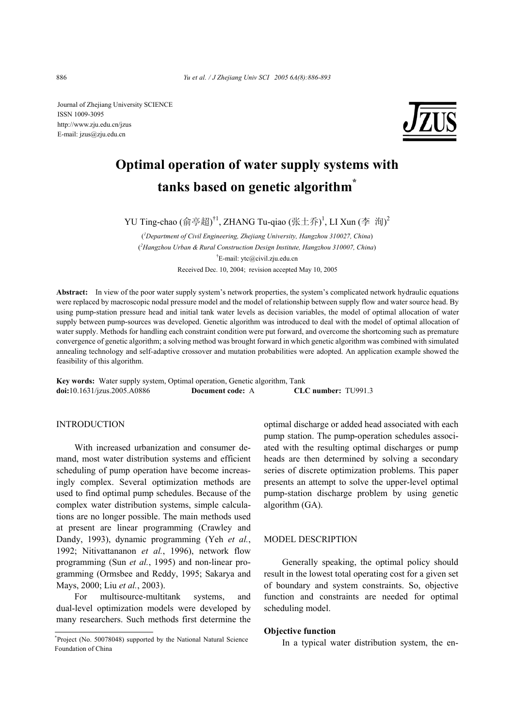Journal of Zhejiang University SCIENCE ISSN 1009-3095 http://www.zju.edu.cn/jzus E-mail: jzus@zju.edu.cn



# **Optimal operation of water supply systems with tanks based on genetic algorithm\***

YU Ting-chao (俞亭超)<sup>†1</sup>, ZHANG Tu-qiao (张土乔)<sup>1</sup>, LI Xun (李 洵)<sup>2</sup>

( *1 Department of Civil Engineering, Zhejiang University, Hangzhou 310027, China*) ( *2 Hangzhou Urban & Rural Construction Design Institute, Hangzhou 310007, China*) † E-mail: ytc@civil.zju.edu.cn Received Dec. 10, 2004; revision accepted May 10, 2005

**Abstract:** In view of the poor water supply system's network properties, the system's complicated network hydraulic equations were replaced by macroscopic nodal pressure model and the model of relationship between supply flow and water source head. By using pump-station pressure head and initial tank water levels as decision variables, the model of optimal allocation of water supply between pump-sources was developed. Genetic algorithm was introduced to deal with the model of optimal allocation of water supply. Methods for handling each constraint condition were put forward, and overcome the shortcoming such as premature convergence of genetic algorithm; a solving method was brought forward in which genetic algorithm was combined with simulated annealing technology and self-adaptive crossover and mutation probabilities were adopted. An application example showed the feasibility of this algorithm.

**Key words:** Water supply system, Optimal operation, Genetic algorithm, Tank **doi:**10.1631/jzus.2005.A0886 **Document code:** A **CLC number:** TU991.3

## **INTRODUCTION**

With increased urbanization and consumer demand, most water distribution systems and efficient scheduling of pump operation have become increasingly complex. Several optimization methods are used to find optimal pump schedules. Because of the complex water distribution systems, simple calculations are no longer possible. The main methods used at present are linear programming (Crawley and Dandy, 1993), dynamic programming (Yeh *et al.*, 1992; Nitivattananon *et al.*, 1996), network flow programming (Sun *et al.*, 1995) and non-linear programming (Ormsbee and Reddy, 1995; Sakarya and Mays, 2000; Liu *et al.*, 2003).

For multisource-multitank systems, and dual-level optimization models were developed by many researchers. Such methods first determine the optimal discharge or added head associated with each pump station. The pump-operation schedules associated with the resulting optimal discharges or pump heads are then determined by solving a secondary series of discrete optimization problems. This paper presents an attempt to solve the upper-level optimal pump-station discharge problem by using genetic algorithm (GA).

#### MODEL DESCRIPTION

Generally speaking, the optimal policy should result in the lowest total operating cost for a given set of boundary and system constraints. So, objective function and constraints are needed for optimal scheduling model.

## **Objective function**

In a typical water distribution system, the en-

<sup>\*</sup> Project (No. 50078048) supported by the National Natural Science Foundation of China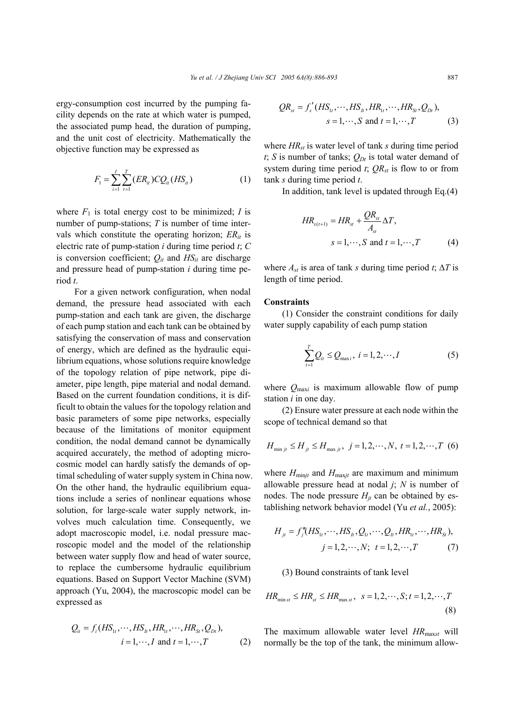ergy-consumption cost incurred by the pumping facility depends on the rate at which water is pumped, the associated pump head, the duration of pumping, and the unit cost of electricity. Mathematically the objective function may be expressed as

$$
F_1 = \sum_{i=1}^{I} \sum_{t=1}^{T} (ER_{it})CQ_{it}(HS_{it})
$$
 (1)

where  $F_1$  is total energy cost to be minimized; *I* is number of pump-stations; *T* is number of time intervals which constitute the operating horizon;  $ER_{it}$  is electric rate of pump-station *i* during time period *t*; *C*  is conversion coefficient;  $Q_{it}$  and  $HS_{it}$  are discharge and pressure head of pump-station *i* during time period *t*.

For a given network configuration, when nodal demand, the pressure head associated with each pump-station and each tank are given, the discharge of each pump station and each tank can be obtained by satisfying the conservation of mass and conservation of energy, which are defined as the hydraulic equilibrium equations, whose solutions require knowledge of the topology relation of pipe network, pipe diameter, pipe length, pipe material and nodal demand. Based on the current foundation conditions, it is difficult to obtain the values for the topology relation and basic parameters of some pipe networks, especially because of the limitations of monitor equipment condition, the nodal demand cannot be dynamically acquired accurately, the method of adopting microcosmic model can hardly satisfy the demands of optimal scheduling of water supply system in China now. On the other hand, the hydraulic equilibrium equations include a series of nonlinear equations whose solution, for large-scale water supply network, involves much calculation time. Consequently, we adopt macroscopic model, i.e. nodal pressure macroscopic model and the model of the relationship between water supply flow and head of water source, to replace the cumbersome hydraulic equilibrium equations. Based on Support Vector Machine (SVM) approach (Yu, 2004), the macroscopic model can be expressed as

$$
Q_{ii} = f_i(HS_{1t}, \cdots, HS_{1t}, HR_{1t}, \cdots, HR_{St}, Q_{Dt}),
$$
  
\n $i = 1, \cdots, I \text{ and } t = 1, \cdots, T$  (2)

$$
QR_{st} = f'_s (HS_{1t}, \cdots, HS_{1t}, HR_{1t}, \cdots, HR_{St}, Q_{Dt}),
$$
  

$$
s = 1, \cdots, S \text{ and } t = 1, \cdots, T
$$
 (3)

where *HRst* is water level of tank *s* during time period *t*; *S* is number of tanks;  $Q_{Dt}$  is total water demand of system during time period  $t$ ;  $QR_{st}$  is flow to or from tank *s* during time period *t*.

In addition, tank level is updated through Eq.(4)

$$
HR_{s(t+1)} = HR_{st} + \frac{QR_{st}}{A_{st}} \Delta T,
$$
  

$$
s = 1, \cdots, S \text{ and } t = 1, \cdots, T
$$
 (4)

where  $A_{st}$  is area of tank *s* during time period *t*;  $\Delta T$  is length of time period.

## **Constraints**

(1) Consider the constraint conditions for daily water supply capability of each pump station

$$
\sum_{i=1}^{T} Q_{ii} \leq Q_{\max i}, \ i = 1, 2, \cdots, I \tag{5}
$$

where  $Q_{\text{max}i}$  is maximum allowable flow of pump station *i* in one day.

(2) Ensure water pressure at each node within the scope of technical demand so that

$$
H_{\min j_l} \le H_{jt} \le H_{\max j_l}, \ j = 1, 2, \cdots, N, \ t = 1, 2, \cdots, T \ (6)
$$

where  $H_{\text{minjt}}$  and  $H_{\text{maxjt}}$  are maximum and minimum allowable pressure head at nodal *j*; *N* is number of nodes. The node pressure  $H_{it}$  can be obtained by establishing network behavior model (Yu *et al.*, 2005):

$$
H_{jt} = f''_j(HS_{1t}, \cdots, HS_{1t}, Q_{1t}, \cdots, Q_{1t}, HR_{1t}, \cdots, HR_{St}),
$$
  
\n
$$
j = 1, 2, \cdots, N; \ t = 1, 2, \cdots, T
$$
 (7)

## (3) Bound constraints of tank level

$$
HR_{\min st} \le HR_{st} \le HR_{\max st}, \quad s = 1, 2, \cdots, S; t = 1, 2, \cdots, T
$$
\n(8)

The maximum allowable water level *HR*max*st* will normally be the top of the tank, the minimum allow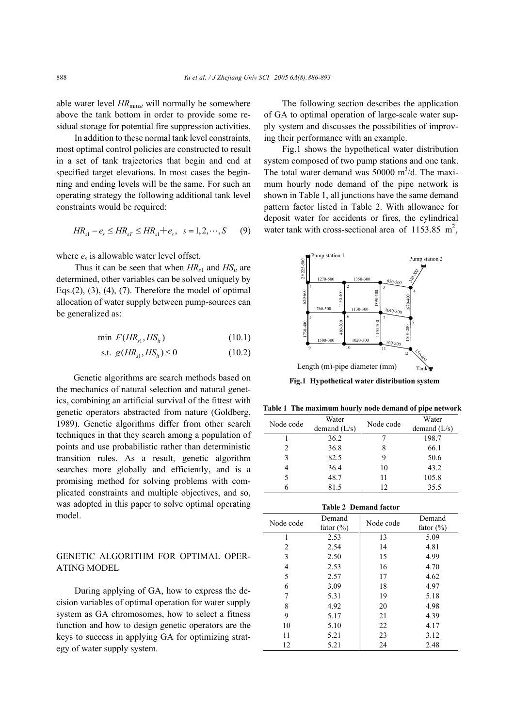able water level *HR*min*st* will normally be somewhere above the tank bottom in order to provide some residual storage for potential fire suppression activities.

In addition to these normal tank level constraints, most optimal control policies are constructed to result in a set of tank trajectories that begin and end at specified target elevations. In most cases the beginning and ending levels will be the same. For such an operating strategy the following additional tank level constraints would be required:

$$
HR_{s1} - e_s \le HR_{sT} \le HR_{s1} + e_s, \ \ s = 1, 2, \cdots, S \tag{9}
$$

where  $e_s$  is allowable water level offset.

Thus it can be seen that when  $HR_{s1}$  and  $HS_{it}$  are determined, other variables can be solved uniquely by Eqs. $(2)$ ,  $(3)$ ,  $(4)$ ,  $(7)$ . Therefore the model of optimal allocation of water supply between pump-sources can be generalized as:

$$
\min \ F(HR_{s1}, HS_{it}) \tag{10.1}
$$

s.t. 
$$
g(HR_{s1}, HS_{it}) \le 0
$$
 (10.2)

Genetic algorithms are search methods based on the mechanics of natural selection and natural genetics, combining an artificial survival of the fittest with genetic operators abstracted from nature (Goldberg, 1989). Genetic algorithms differ from other search techniques in that they search among a population of points and use probabilistic rather than deterministic transition rules. As a result, genetic algorithm searches more globally and efficiently, and is a promising method for solving problems with complicated constraints and multiple objectives, and so, was adopted in this paper to solve optimal operating model.

## GENETIC ALGORITHM FOR OPTIMAL OPER-ATING MODEL

During applying of GA, how to express the decision variables of optimal operation for water supply system as GA chromosomes, how to select a fitness function and how to design genetic operators are the keys to success in applying GA for optimizing strategy of water supply system.

The following section describes the application of GA to optimal operation of large-scale water supply system and discusses the possibilities of improving their performance with an example.

Fig.1 shows the hypothetical water distribution system composed of two pump stations and one tank. The total water demand was  $50000 \text{ m}^3/\text{d}$ . The maximum hourly node demand of the pipe network is shown in Table 1, all junctions have the same demand pattern factor listed in Table 2. With allowance for deposit water for accidents or fires, the cylindrical water tank with cross-sectional area of 1153.85  $m^2$ ,



**Fig.1 Hypothetical water distribution system**

**Table 1 The maximum hourly node demand of pipe network**

| Node code | Water<br>demand $(L/s)$ |    | Water<br>demand $(L/s)$ |  |  |
|-----------|-------------------------|----|-------------------------|--|--|
|           | 36.2                    |    | 198.7                   |  |  |
| 2         | 36.8                    |    | 66.1                    |  |  |
| 3         | 82.5                    |    | 50.6                    |  |  |
|           | 36.4                    | 10 | 43.2                    |  |  |
|           | 48.7                    | 11 | 105.8                   |  |  |
|           | 81.5                    | 12 | 35.5                    |  |  |

#### **Table 2 Demand factor**

| Node code      | Demand<br>fator $(\% )$ | Node code | Demand<br>fator $(\% )$ |  |
|----------------|-------------------------|-----------|-------------------------|--|
| 1              | 2.53                    | 13        | 5.09                    |  |
| $\overline{c}$ | 2.54                    | 14        | 4.81                    |  |
| 3              | 2.50                    | 15        | 4.99                    |  |
| 4              | 2.53                    | 16        | 4.70                    |  |
| 5              | 2.57                    | 17        | 4.62                    |  |
| 6              | 3.09                    | 18        | 4.97                    |  |
| 7              | 5.31                    | 19        | 5.18                    |  |
| 8              | 4.92                    | 20        | 4.98                    |  |
| 9              | 5.17                    | 21        | 4.39                    |  |
| 10             | 5.10                    | 22        | 4.17                    |  |
| 11             | 5.21                    | 23        | 3.12                    |  |
| 12             | 5.21                    | 24        | 2.48                    |  |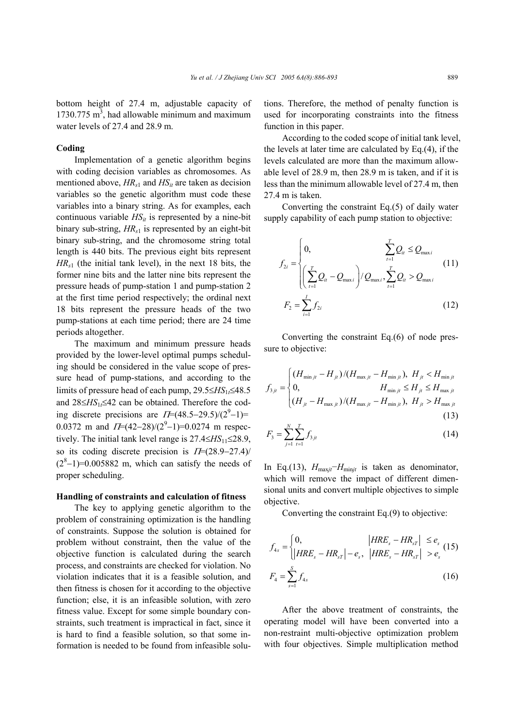bottom height of 27.4 m, adjustable capacity of 1730.775  $m<sup>3</sup>$ , had allowable minimum and maximum water levels of 27.4 and 28.9 m.

## **Coding**

Implementation of a genetic algorithm begins with coding decision variables as chromosomes. As mentioned above,  $HR_{s1}$  and  $HS_{it}$  are taken as decision variables so the genetic algorithm must code these variables into a binary string. As for examples, each continuous variable  $HS_{it}$  is represented by a nine-bit binary sub-string,  $HR_{s1}$  is represented by an eight-bit binary sub-string, and the chromosome string total length is 440 bits. The previous eight bits represent *HRs*1 (the initial tank level), in the next 18 bits, the former nine bits and the latter nine bits represent the pressure heads of pump-station 1 and pump-station 2 at the first time period respectively; the ordinal next 18 bits represent the pressure heads of the two pump-stations at each time period; there are 24 time periods altogether.

The maximum and minimum pressure heads provided by the lower-level optimal pumps scheduling should be considered in the value scope of pressure head of pump-stations, and according to the limits of pressure head of each pump, 29.5≤*HS*1*t*≤48.5 and 28≤*HS*1*t*≤42 can be obtained. Therefore the coding discrete precisions are  $\Pi$ =(48.5–29.5)/(2<sup>9</sup>–1)= 0.0372 m and  $\Pi$ =(42–28)/(2<sup>9</sup>–1)=0.0274 m respectively. The initial tank level range is 27.4≤*HS*11≤28.9, so its coding discrete precision is  $\Pi$ =(28.9–27.4)/  $(2<sup>8</sup>-1)=0.005882$  m, which can satisfy the needs of proper scheduling.

#### **Handling of constraints and calculation of fitness**

The key to applying genetic algorithm to the problem of constraining optimization is the handling of constraints. Suppose the solution is obtained for problem without constraint, then the value of the objective function is calculated during the search process, and constraints are checked for violation. No violation indicates that it is a feasible solution, and then fitness is chosen for it according to the objective function; else, it is an infeasible solution, with zero fitness value. Except for some simple boundary constraints, such treatment is impractical in fact, since it is hard to find a feasible solution, so that some information is needed to be found from infeasible solutions. Therefore, the method of penalty function is used for incorporating constraints into the fitness function in this paper.

According to the coded scope of initial tank level, the levels at later time are calculated by Eq.(4), if the levels calculated are more than the maximum allowable level of 28.9 m, then 28.9 m is taken, and if it is less than the minimum allowable level of 27.4 m, then 27.4 m is taken.

Converting the constraint Eq.(5) of daily water supply capability of each pump station to objective:

$$
f_{2i} = \begin{cases} 0, & \sum_{t=1}^{T} Q_{it} \leq Q_{\text{max }i} \\ \left(\sum_{t=1}^{T} Q_{it} - Q_{\text{max }i}\right) / Q_{\text{max }i}, \sum_{t=1}^{T} Q_{it} > Q_{\text{max }i} \end{cases}
$$
(11)  

$$
F_{2} = \sum_{t=1}^{I} f_{2i} \qquad (12)
$$

Converting the constraint Eq.(6) of node pressure to objective:

$$
f_{3ji} = \begin{cases} (H_{\min j_l} - H_{jt})/(H_{\max j_l} - H_{\min j_l}), & H_{jt} < H_{\min j_l} \\ 0, & H_{\min j_l} \le H_{jt} \le H_{\max j_l} \\ (H_{jt} - H_{\max j_l})/(H_{\max j_l} - H_{\min j_l}), & H_{jt} > H_{\max j_l} \end{cases}
$$
(13)

$$
F_3 = \sum_{j=1}^{N} \sum_{t=1}^{T} f_{3jt}
$$
 (14)

In Eq.(13),  $H_{\text{max}}/H_{\text{min}}$  is taken as denominator, which will remove the impact of different dimensional units and convert multiple objectives to simple objective.

Converting the constraint Eq.(9) to objective:

$$
f_{4s} = \begin{cases} 0, & |HRE_s - HR_{sT}| \le e_s \\ |HRE_s - HR_{sT}| - e_s, & |HRE_s - HR_{sT}| > e_s \end{cases}
$$
 (15)  

$$
F_4 = \sum_{s=1}^{S} f_{4s}
$$
 (16)

After the above treatment of constraints, the operating model will have been converted into a non-restraint multi-objective optimization problem with four objectives. Simple multiplication method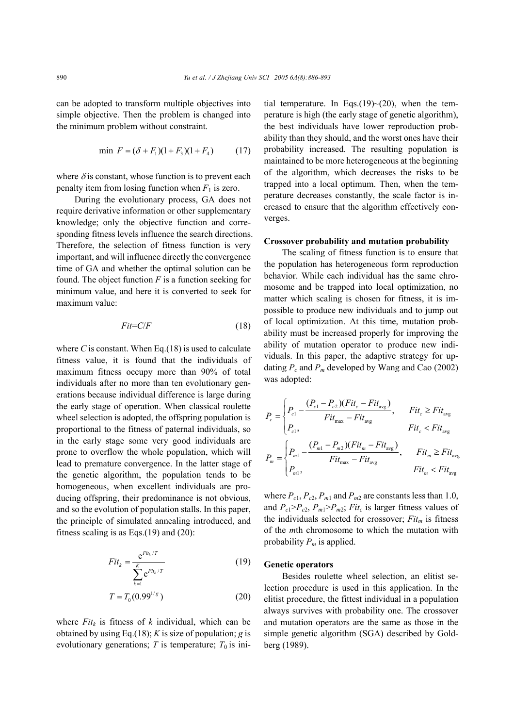can be adopted to transform multiple objectives into simple objective. Then the problem is changed into the minimum problem without constraint.

$$
\min \ F = (\delta + F_1)(1 + F_3)(1 + F_4) \tag{17}
$$

where  $\delta$  is constant, whose function is to prevent each penalty item from losing function when  $F_1$  is zero.

During the evolutionary process, GA does not require derivative information or other supplementary knowledge; only the objective function and corresponding fitness levels influence the search directions. Therefore, the selection of fitness function is very important, and will influence directly the convergence time of GA and whether the optimal solution can be found. The object function *F* is a function seeking for minimum value, and here it is converted to seek for maximum value:

$$
Fit= C/F
$$
 (18)

where  $C$  is constant. When Eq.(18) is used to calculate fitness value, it is found that the individuals of maximum fitness occupy more than 90% of total individuals after no more than ten evolutionary generations because individual difference is large during the early stage of operation. When classical roulette wheel selection is adopted, the offspring population is proportional to the fitness of paternal individuals, so in the early stage some very good individuals are prone to overflow the whole population, which will lead to premature convergence. In the latter stage of the genetic algorithm, the population tends to be homogeneous, when excellent individuals are producing offspring, their predominance is not obvious, and so the evolution of population stalls. In this paper, the principle of simulated annealing introduced, and fitness scaling is as Eqs. $(19)$  and  $(20)$ :

$$
Fit_{k} = \frac{e^{Fit_{k}/T}}{\sum_{k=1}^{K} e^{Fit_{k}/T}}
$$
 (19)

$$
T = T_0(0.99^{1/g})
$$
 (20)

where  $Fit<sub>k</sub>$  is fitness of  $k$  individual, which can be obtained by using Eq.(18); *K* is size of population; *g* is evolutionary generations;  $T$  is temperature;  $T_0$  is initial temperature. In Eqs.(19) $\sim$ (20), when the temperature is high (the early stage of genetic algorithm), the best individuals have lower reproduction probability than they should, and the worst ones have their probability increased. The resulting population is maintained to be more heterogeneous at the beginning of the algorithm, which decreases the risks to be trapped into a local optimum. Then, when the temperature decreases constantly, the scale factor is increased to ensure that the algorithm effectively converges.

#### **Crossover probability and mutation probability**

The scaling of fitness function is to ensure that the population has heterogeneous form reproduction behavior. While each individual has the same chromosome and be trapped into local optimization, no matter which scaling is chosen for fitness, it is impossible to produce new individuals and to jump out of local optimization. At this time, mutation probability must be increased properly for improving the ability of mutation operator to produce new individuals. In this paper, the adaptive strategy for updating  $P_c$  and  $P_m$  developed by Wang and Cao (2002) was adopted:

$$
P_c = \begin{cases} P_{c1} - \frac{(P_{c1} - P_{c2})(Fit_c - Fit_{avg})}{Fit_{max} - Fit_{avg}}, & Fit_c \ge Fit_{avg} \\ P_{c1}, & Fit_c < Fit_{avg} \end{cases}
$$
  

$$
P_m = \begin{cases} P_{m1} - \frac{(P_{m1} - P_{m2})(Fit_m - Fit_{avg})}{Fit_{max} - Fit_{avg}}, & Fit_m \ge Fit_{avg} \\ P_{m1}, & Fit_m < Fit_{avg} \end{cases}
$$

where  $P_{c1}$ ,  $P_{c2}$ ,  $P_{m1}$  and  $P_{m2}$  are constants less than 1.0, and  $P_{c1} > P_{c2}$ ,  $P_{m1} > P_{m2}$ ; *Fit<sub>c</sub>* is larger fitness values of the individuals selected for crossover;  $Fit<sub>m</sub>$  is fitness of the *m*th chromosome to which the mutation with probability  $P_m$  is applied.

#### **Genetic operators**

Besides roulette wheel selection, an elitist selection procedure is used in this application. In the elitist procedure, the fittest individual in a population always survives with probability one. The crossover and mutation operators are the same as those in the simple genetic algorithm (SGA) described by Goldberg (1989).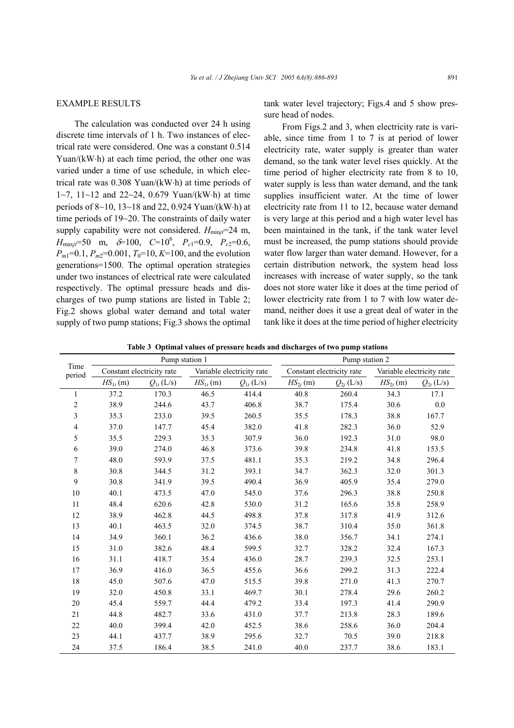## EXAMPLE RESULTS

The calculation was conducted over 24 h using discrete time intervals of 1 h. Two instances of electrical rate were considered. One was a constant 0.514 Yuan/(kW⋅h) at each time period, the other one was varied under a time of use schedule, in which electrical rate was 0.308 Yuan/(kW⋅h) at time periods of 1~7, 11~12 and 22~24, 0.679 Yuan/(kW⋅h) at time periods of 8~10, 13~18 and 22, 0.924 Yuan/(kW⋅h) at time periods of 19~20. The constraints of daily water supply capability were not considered.  $H_{\text{minif}}$ =24 m,  $H_{\text{max}j\bar{\tau}} = 50 \text{ m}, \quad \hat{\sigma} = 100, \quad C = 10^6, \quad P_{c1} = 0.9, \quad P_{c2} = 0.6,$  $P_{m1}$ =0.1,  $P_{m2}$ =0.001,  $T_0$ =10, *K*=100, and the evolution generations=1500. The optimal operation strategies under two instances of electrical rate were calculated respectively. The optimal pressure heads and discharges of two pump stations are listed in Table 2; Fig.2 shows global water demand and total water supply of two pump stations; Fig.3 shows the optimal

tank water level trajectory; Figs.4 and 5 show pressure head of nodes.

From Figs.2 and 3, when electricity rate is variable, since time from 1 to 7 is at period of lower electricity rate, water supply is greater than water demand, so the tank water level rises quickly. At the time period of higher electricity rate from 8 to 10, water supply is less than water demand, and the tank supplies insufficient water. At the time of lower electricity rate from 11 to 12, because water demand is very large at this period and a high water level has been maintained in the tank, if the tank water level must be increased, the pump stations should provide water flow larger than water demand. However, for a certain distribution network, the system head loss increases with increase of water supply, so the tank does not store water like it does at the time period of lower electricity rate from 1 to 7 with low water demand, neither does it use a great deal of water in the tank like it does at the time period of higher electricity

**Table 3 Optimal values of pressure heads and discharges of two pump stations** 

| Time<br>period          | Pump station 1            |                |                           | Pump station 2 |                           |                |                           |                |
|-------------------------|---------------------------|----------------|---------------------------|----------------|---------------------------|----------------|---------------------------|----------------|
|                         | Constant electricity rate |                | Variable electricity rate |                | Constant electricity rate |                | Variable electricity rate |                |
|                         | $HS_{1t}$ (m)             | $Q_{1t}$ (L/s) | $HS_{1t}$ (m)             | $Q_{1t}$ (L/s) | $HS_{2i}(m)$              | $Q_{2j}$ (L/s) | $HS_{2t}(m)$              | $Q_{2t}$ (L/s) |
| 1                       | 37.2                      | 170.3          | 46.5                      | 414.4          | 40.8                      | 260.4          | 34.3                      | 17.1           |
| $\overline{\mathbf{c}}$ | 38.9                      | 244.6          | 43.7                      | 406.8          | 38.7                      | 175.4          | 30.6                      | 0.0            |
| 3                       | 35.3                      | 233.0          | 39.5                      | 260.5          | 35.5                      | 178.3          | 38.8                      | 167.7          |
| 4                       | 37.0                      | 147.7          | 45.4                      | 382.0          | 41.8                      | 282.3          | 36.0                      | 52.9           |
| 5                       | 35.5                      | 229.3          | 35.3                      | 307.9          | 36.0                      | 192.3          | 31.0                      | 98.0           |
| 6                       | 39.0                      | 274.0          | 46.8                      | 373.6          | 39.8                      | 234.8          | 41.8                      | 153.5          |
| 7                       | 48.0                      | 593.9          | 37.5                      | 481.1          | 35.3                      | 219.2          | 34.8                      | 296.4          |
| 8                       | 30.8                      | 344.5          | 31.2                      | 393.1          | 34.7                      | 362.3          | 32.0                      | 301.3          |
| 9                       | 30.8                      | 341.9          | 39.5                      | 490.4          | 36.9                      | 405.9          | 35.4                      | 279.0          |
| 10                      | 40.1                      | 473.5          | 47.0                      | 545.0          | 37.6                      | 296.3          | 38.8                      | 250.8          |
| 11                      | 48.4                      | 620.6          | 42.8                      | 530.0          | 31.2                      | 165.6          | 35.8                      | 258.9          |
| 12                      | 38.9                      | 462.8          | 44.5                      | 498.8          | 37.8                      | 317.8          | 41.9                      | 312.6          |
| 13                      | 40.1                      | 463.5          | 32.0                      | 374.5          | 38.7                      | 310.4          | 35.0                      | 361.8          |
| 14                      | 34.9                      | 360.1          | 36.2                      | 436.6          | 38.0                      | 356.7          | 34.1                      | 274.1          |
| 15                      | 31.0                      | 382.6          | 48.4                      | 599.5          | 32.7                      | 328.2          | 32.4                      | 167.3          |
| 16                      | 31.1                      | 418.7          | 35.4                      | 436.0          | 28.7                      | 239.3          | 32.5                      | 253.1          |
| 17                      | 36.9                      | 416.0          | 36.5                      | 455.6          | 36.6                      | 299.2          | 31.3                      | 222.4          |
| 18                      | 45.0                      | 507.6          | 47.0                      | 515.5          | 39.8                      | 271.0          | 41.3                      | 270.7          |
| 19                      | 32.0                      | 450.8          | 33.1                      | 469.7          | 30.1                      | 278.4          | 29.6                      | 260.2          |
| 20                      | 45.4                      | 559.7          | 44.4                      | 479.2          | 33.4                      | 197.3          | 41.4                      | 290.9          |
| 21                      | 44.8                      | 482.7          | 33.6                      | 431.0          | 37.7                      | 213.8          | 28.3                      | 189.6          |
| 22                      | 40.0                      | 399.4          | 42.0                      | 452.5          | 38.6                      | 258.6          | 36.0                      | 204.4          |
| 23                      | 44.1                      | 437.7          | 38.9                      | 295.6          | 32.7                      | 70.5           | 39.0                      | 218.8          |
| 24                      | 37.5                      | 186.4          | 38.5                      | 241.0          | 40.0                      | 237.7          | 38.6                      | 183.1          |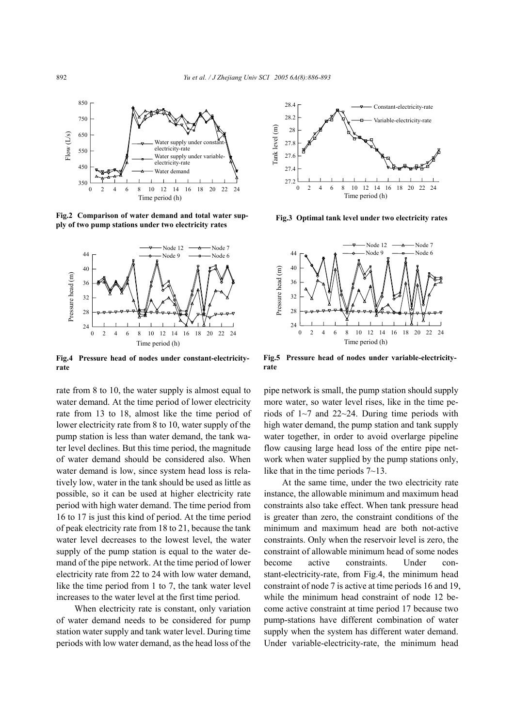

**Fig.2 Comparison of water demand and total water supply of two pump stations under two electricity rates** 



**Fig.4 Pressure head of nodes under constant-electricityrate** 

rate from 8 to 10, the water supply is almost equal to water demand. At the time period of lower electricity rate from 13 to 18, almost like the time period of lower electricity rate from 8 to 10, water supply of the pump station is less than water demand, the tank water level declines. But this time period, the magnitude of water demand should be considered also. When water demand is low, since system head loss is relatively low, water in the tank should be used as little as possible, so it can be used at higher electricity rate period with high water demand. The time period from 16 to 17 is just this kind of period. At the time period of peak electricity rate from 18 to 21, because the tank water level decreases to the lowest level, the water supply of the pump station is equal to the water demand of the pipe network. At the time period of lower electricity rate from 22 to 24 with low water demand, like the time period from 1 to 7, the tank water level increases to the water level at the first time period.

When electricity rate is constant, only variation of water demand needs to be considered for pump station water supply and tank water level. During time periods with low water demand, as the head loss of the



**Fig.3 Optimal tank level under two electricity rates**



**Fig.5 Pressure head of nodes under variable-electricityrate** 

pipe network is small, the pump station should supply more water, so water level rises, like in the time periods of 1~7 and 22~24. During time periods with high water demand, the pump station and tank supply water together, in order to avoid overlarge pipeline flow causing large head loss of the entire pipe network when water supplied by the pump stations only, like that in the time periods 7~13.

At the same time, under the two electricity rate instance, the allowable minimum and maximum head constraints also take effect. When tank pressure head is greater than zero, the constraint conditions of the minimum and maximum head are both not-active constraints. Only when the reservoir level is zero, the constraint of allowable minimum head of some nodes become active constraints. Under constant-electricity-rate, from Fig.4, the minimum head constraint of node 7 is active at time periods 16 and 19, while the minimum head constraint of node 12 become active constraint at time period 17 because two pump-stations have different combination of water supply when the system has different water demand. Under variable-electricity-rate, the minimum head